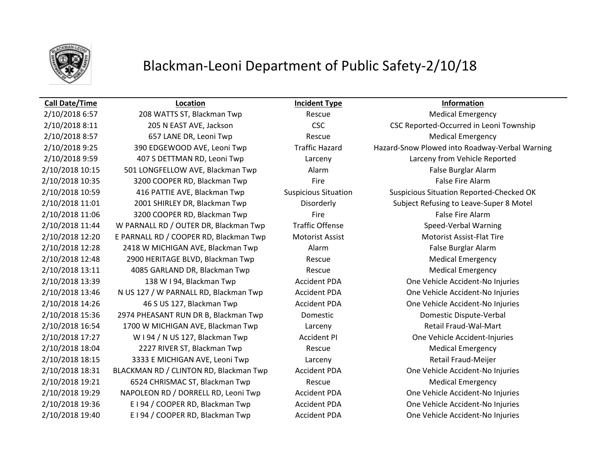

# Blackman-Leoni Department of Public Safety-2/10/18

2/10/2018 6:57 208 WATTS ST, Blackman Twp Rescue Rescue Medical Emergency 2/10/2018 8:11 205 N EAST AVE, Jackson CSC CSC CSC Reported-Occurred in Leoni Township 2/10/2018 8:57 657 LANE DR, Leoni Twp Rescue Rescue Medical Emergency 2/10/2018 9:25 390 EDGEWOOD AVE, Leoni Twp Traffic Hazard Hazard-Snow Plowed into Roadway-Verbal Warning 2/10/2018 9:59 407 S DETTMAN RD, Leoni Twp Larceny Larceny from Vehicle Reported 2/10/2018 10:15 501 LONGFELLOW AVE, Blackman Twp Alarm Alarm False Burglar Alarm 2/10/2018 10:35 3200 COOPER RD, Blackman Twp Fire Fire Fire False Fire Alarm 2/10/2018 10:59 416 PATTIE AVE, Blackman Twp Suspicious Situation Suspicious Situation Reported-Checked OK 2/10/2018 11:01 2001 SHIRLEY DR, Blackman Twp Disorderly Subject Refusing to Leave-Super 8 Motel 2/10/2018 11:06 3200 COOPER RD, Blackman Twp Fire Fire Fire False Fire Alarm 2/10/2018 11:44 W PARNALL RD / OUTER DR, Blackman Twp Traffic Offense Speed-Verbal Warning 2/10/2018 12:20 E PARNALL RD / COOPER RD, Blackman Twp Motorist Assist Motorist Assist-Flat Tire 2/10/2018 12:28 2418 W MICHIGAN AVE, Blackman Twp Alarm False Burglar Alarm 2/10/2018 12:48 2900 HERITAGE BLVD, Blackman Twp Rescue Rescue Medical Emergency 2/10/2018 13:11 4085 GARLAND DR, Blackman Twp Rescue Medical Emergency 2/10/2018 13:39 138 W I 94, Blackman Twp Accident PDA One Vehicle Accident-No Injuries 2/10/2018 13:46 N US 127 / W PARNALL RD, Blackman Twp Accident PDA One Vehicle Accident-No Injuries 2/10/2018 14:26 46 S US 127, Blackman Twp Accident PDA One Vehicle Accident-No Injuries 2/10/2018 15:36 2974 PHEASANT RUN DR B, Blackman Twp Domestic Domestic Dispute-Verbal 2/10/2018 16:54 1700 W MICHIGAN AVE, Blackman Twp Larceny Larceny Retail Fraud-Wal-Mart 2/10/2018 17:27 W I 94 / N US 127, Blackman Twp Accident PI One Vehicle Accident-Injuries 2/10/2018 18:04 2227 RIVER ST, Blackman Twp Rescue Rescue Medical Emergency 2/10/2018 18:15 3333 E MICHIGAN AVE, Leoni Twp Larceny Retail Fraud-Meijer 2/10/2018 18:31 BLACKMAN RD / CLINTON RD, Blackman Twp Accident PDA One Vehicle Accident-No Injuries 2/10/2018 19:21 6524 CHRISMAC ST, Blackman Twp Rescue Rescue Medical Emergency 2/10/2018 19:29 NAPOLEON RD / DORRELL RD, Leoni Twp Accident PDA One Vehicle Accident-No Injuries 2/10/2018 19:36 E I 94 / COOPER RD, Blackman Twp Accident PDA One Vehicle Accident-No Injuries 2/10/2018 19:40 E I 94 / COOPER RD, Blackman Twp Accident PDA One Vehicle Accident-No Injuries

# **Call Date/Time Location Incident Type Information**